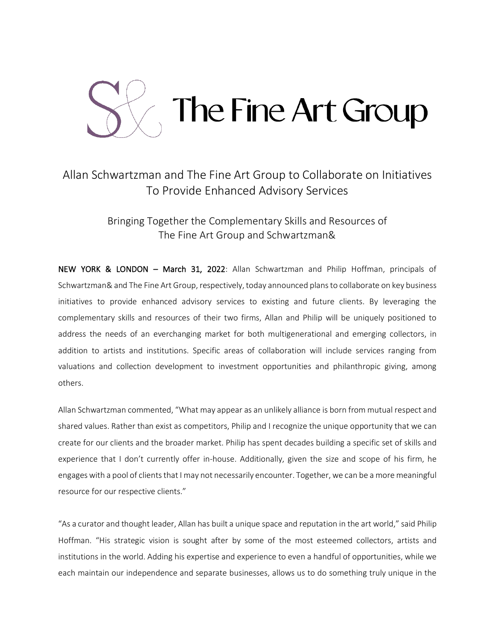

## Allan Schwartzman and The Fine Art Group to Collaborate on Initiatives To Provide Enhanced Advisory Services

Bringing Together the Complementary Skills and Resources of The Fine Art Group and Schwartzman&

NEW YORK & LONDON – March 31, 2022: Allan Schwartzman and Philip Hoffman, principals of Schwartzman& and The Fine Art Group, respectively, today announced plans to collaborate on key business initiatives to provide enhanced advisory services to existing and future clients. By leveraging the complementary skills and resources of their two firms, Allan and Philip will be uniquely positioned to address the needs of an everchanging market for both multigenerational and emerging collectors, in addition to artists and institutions. Specific areas of collaboration will include services ranging from valuations and collection development to investment opportunities and philanthropic giving, among others.

Allan Schwartzman commented, "What may appear as an unlikely alliance is born from mutual respect and shared values. Rather than exist as competitors, Philip and I recognize the unique opportunity that we can create for our clients and the broader market. Philip has spent decades building a specific set of skills and experience that I don't currently offer in-house. Additionally, given the size and scope of his firm, he engages with a pool of clients that I may not necessarily encounter. Together, we can be a more meaningful resource for our respective clients."

"As a curator and thought leader, Allan has built a unique space and reputation in the art world," said Philip Hoffman. "His strategic vision is sought after by some of the most esteemed collectors, artists and institutions in the world. Adding his expertise and experience to even a handful of opportunities, while we each maintain our independence and separate businesses, allows us to do something truly unique in the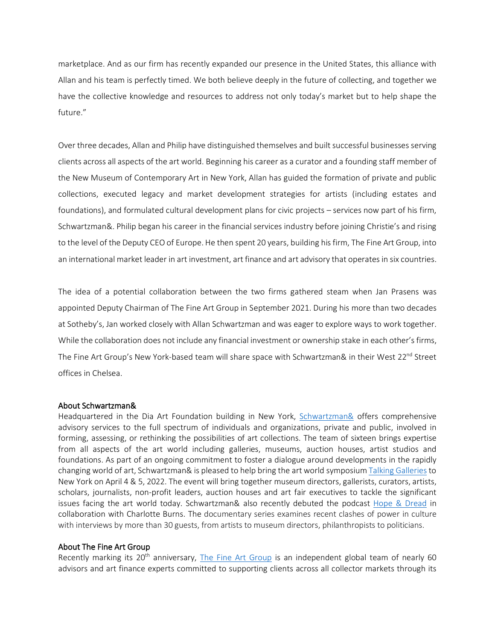marketplace. And as our firm has recently expanded our presence in the United States, this alliance with Allan and his team is perfectly timed. We both believe deeply in the future of collecting, and together we have the collective knowledge and resources to address not only today's market but to help shape the future."

Over three decades, Allan and Philip have distinguished themselves and built successful businesses serving clients across all aspects of the art world. Beginning his career as a curator and a founding staff member of the New Museum of Contemporary Art in New York, Allan has guided the formation of private and public collections, executed legacy and market development strategies for artists (including estates and foundations), and formulated cultural development plans for civic projects – services now part of his firm, Schwartzman&. Philip began his career in the financial services industry before joining Christie's and rising to the level of the Deputy CEO of Europe. He then spent 20 years, building his firm, The Fine Art Group, into an international market leader in art investment, art finance and art advisory that operates in six countries.

The idea of a potential collaboration between the two firms gathered steam when Jan Prasens was appointed Deputy Chairman of The Fine Art Group in September 2021. During his more than two decades at Sotheby's, Jan worked closely with Allan Schwartzman and was eager to explore ways to work together. While the collaboration does not include any financial investment or ownership stake in each other's firms, The Fine Art Group's New York-based team will share space with Schwartzman& in their West 22<sup>nd</sup> Street offices in Chelsea.

## About Schwartzman&

Headquartered in the Dia Art Foundation building in New York, [Schwartzman&](https://www.schwartzmanand.com/advisory-services) offers comprehensive advisory services to the full spectrum of individuals and organizations, private and public, involved in forming, assessing, or rethinking the possibilities of art collections. The team of sixteen brings expertise from all aspects of the art world including galleries, museums, auction houses, artist studios and foundations. As part of an ongoing commitment to foster a dialogue around developments in the rapidly changing world of art, Schwartzman& is pleased to help bring the art world symposiu[m Talking Galleries](https://www.schwartzmanand.com/talking-galleries) to New York on April 4 & 5, 2022. The event will bring together museum directors, gallerists, curators, artists, scholars, journalists, non-profit leaders, auction houses and art fair executives to tackle the significant issues facing the art world today. Schwartzman& also recently debuted the podcast [Hope & Dread](https://eur03.safelinks.protection.outlook.com/?url=https%3A%2F%2Fpodcasts.apple.com%2Fus%2Fpodcast%2Fhope-and-dread%2Fid1599610854&data=04%7C01%7CJanPrasens%40fineartgroup.com%7C9219d4137d68480d6d1f08da0b717d5c%7C898d5f9c93d3464f9678707611dd6b61%7C1%7C0%7C637834879300698819%7CUnknown%7CTWFpbGZsb3d8eyJWIjoiMC4wLjAwMDAiLCJQIjoiV2luMzIiLCJBTiI6Ik1haWwiLCJXVCI6Mn0%3D%7C3000&sdata=GiMzEcZOhBiKmRiCTtdQ258BmCmmzVr0bpwdoyhs2es%3D&reserved=0) in collaboration with Charlotte Burns. The documentary series examines recent clashes of power in culture with interviews by more than 30 guests, from artists to museum directors, philanthropists to politicians.

## About The Fine Art Group

Recently marking its 20<sup>th</sup> anniversary, [The Fine Art Group](https://www.fineartgroup.com/) is an independent global team of nearly 60 advisors and art finance experts committed to supporting clients across all collector markets through its